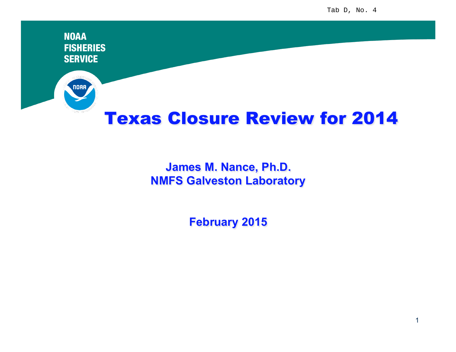**NOAA FISHERIES SERVICE** noaa Texas Closure Review for 2014

## **James M. Nance, Ph.D. NMFS Galveston Laboratory**

**February 2015**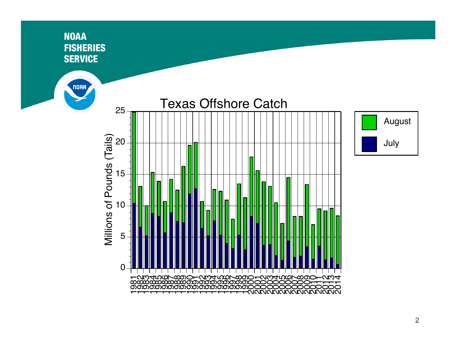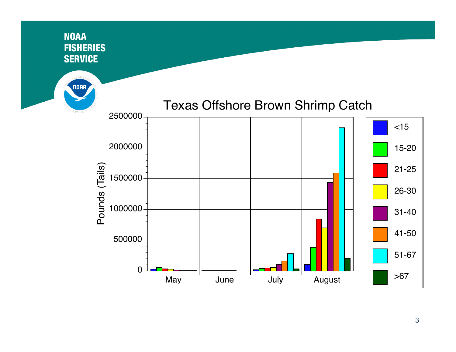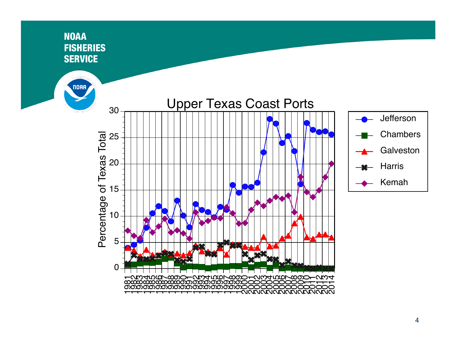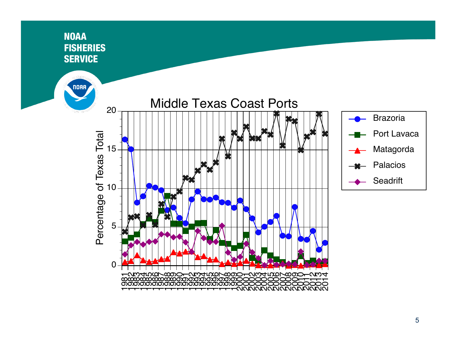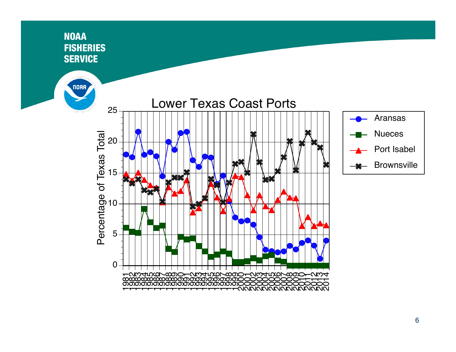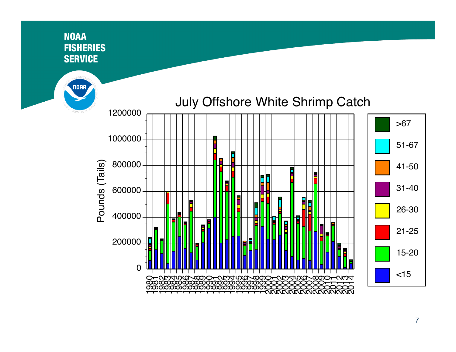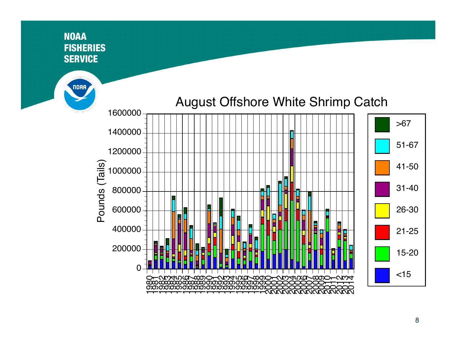## **NOAA FISHERIES SERVICE**

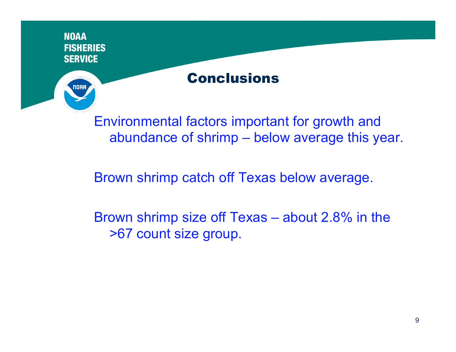

abundance of shrimp – below average this year.

Brown shrimp catch off Texas below average.

Brown shrimp size off Texas – about 2.8% in the >67 count size group.